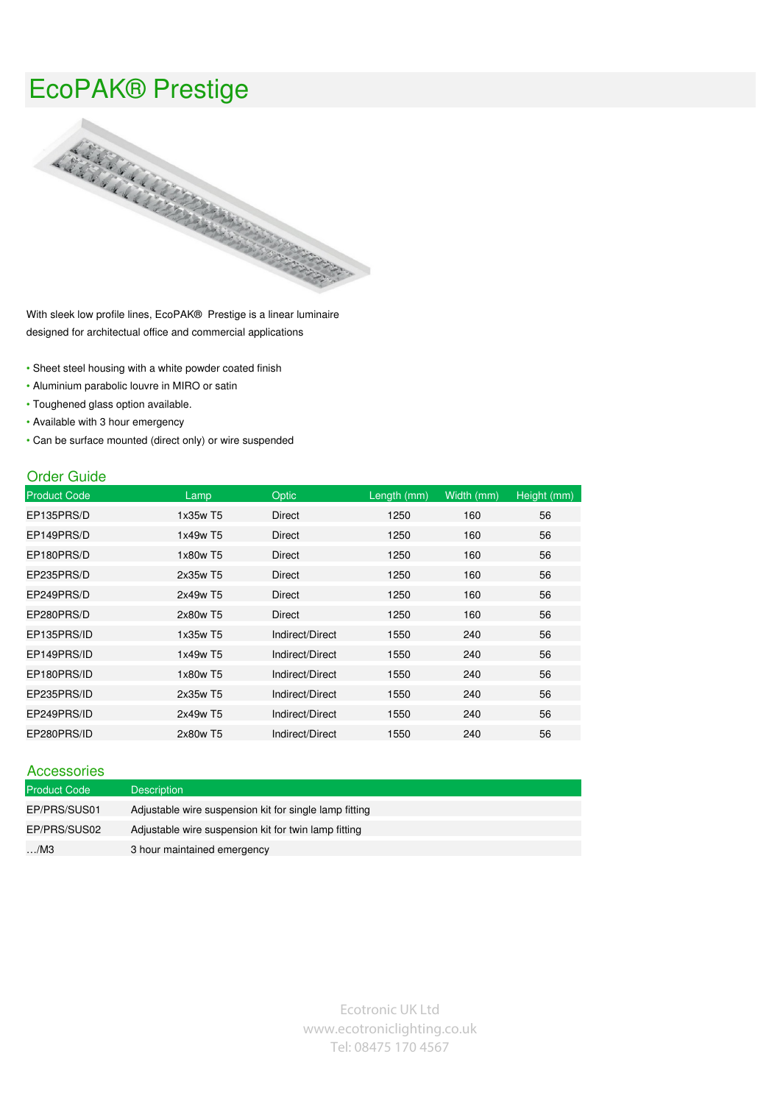## EcoPAK® Prestige



With sleek low profile lines, EcoPAK® Prestige is a linear luminaire designed for architectual office and commercial applications

- Sheet steel housing with a white powder coated finish
- Aluminium parabolic louvre in MIRO or satin
- Toughened glass option available.
- Available with 3 hour emergency
- Can be surface mounted (direct only) or wire suspended

## Order Guide

| <b>Product Code</b> | Lamp     | <b>Optic</b>    | Length (mm) | Width (mm) | Height (mm) |
|---------------------|----------|-----------------|-------------|------------|-------------|
| EP135PRS/D          | 1x35w T5 | Direct          | 1250        | 160        | 56          |
| EP149PRS/D          | 1x49w T5 | Direct          | 1250        | 160        | 56          |
| EP180PRS/D          | 1x80w T5 | Direct          | 1250        | 160        | 56          |
| EP235PRS/D          | 2x35w T5 | Direct          | 1250        | 160        | 56          |
| EP249PRS/D          | 2x49w T5 | Direct          | 1250        | 160        | 56          |
| EP280PRS/D          | 2x80w T5 | Direct          | 1250        | 160        | 56          |
| EP135PRS/ID         | 1x35w T5 | Indirect/Direct | 1550        | 240        | 56          |
| EP149PRS/ID         | 1x49w T5 | Indirect/Direct | 1550        | 240        | 56          |
| EP180PRS/ID         | 1x80w T5 | Indirect/Direct | 1550        | 240        | 56          |
| EP235PRS/ID         | 2x35w T5 | Indirect/Direct | 1550        | 240        | 56          |
| EP249PRS/ID         | 2x49w T5 | Indirect/Direct | 1550        | 240        | 56          |
| EP280PRS/ID         | 2x80w T5 | Indirect/Direct | 1550        | 240        | 56          |

| Accessories         |                                                        |
|---------------------|--------------------------------------------------------|
| <b>Product Code</b> | <b>Description</b>                                     |
| EP/PRS/SUS01        | Adjustable wire suspension kit for single lamp fitting |
| EP/PRS/SUS02        | Adjustable wire suspension kit for twin lamp fitting   |
| $\ldots$ /M3        | 3 hour maintained emergency                            |

Ecotronic UK Ltd www.ecotroniclighting.co.uk Tel: 08475 170 4567